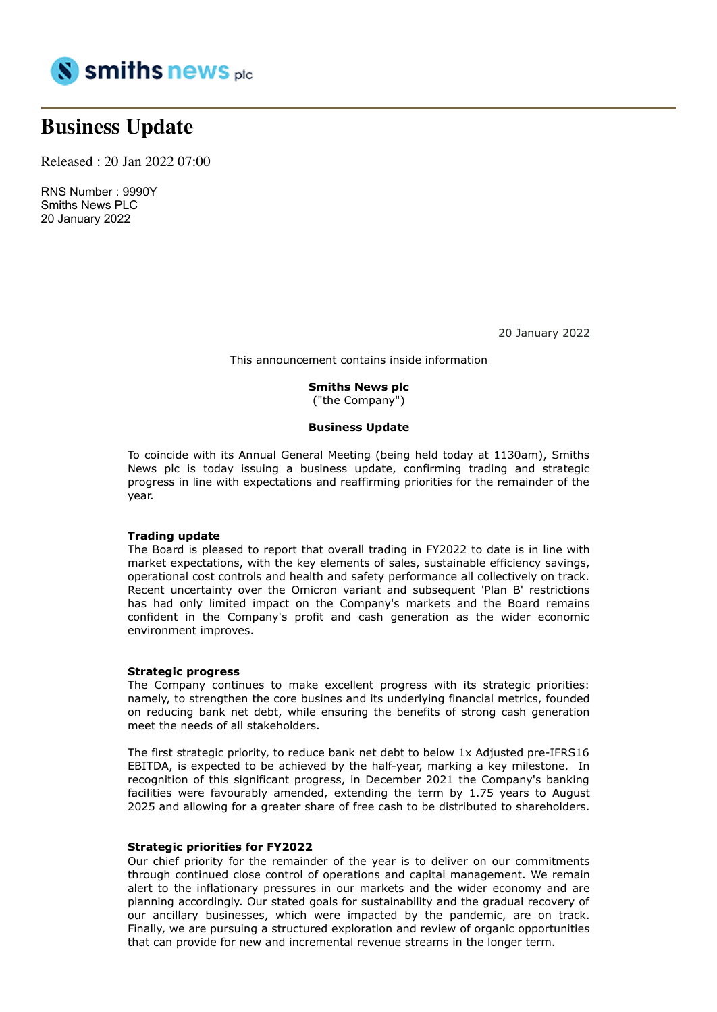

# **Business Update**

Released : 20 Jan 2022 07:00

RNS Number : 9990Y Smiths News PLC 20 January 2022

20 January 2022

This announcement contains inside information

#### **Smiths News plc**

("the Company")

#### **Business Update**

To coincide with its Annual General Meeting (being held today at 1130am), Smiths News plc is today issuing a business update, confirming trading and strategic progress in line with expectations and reaffirming priorities for the remainder of the year.

#### **Trading update**

The Board is pleased to report that overall trading in FY2022 to date is in line with market expectations, with the key elements of sales, sustainable efficiency savings, operational cost controls and health and safety performance all collectively on track. Recent uncertainty over the Omicron variant and subsequent 'Plan B' restrictions has had only limited impact on the Company's markets and the Board remains confident in the Company's profit and cash generation as the wider economic environment improves.

#### **Strategic progress**

The Company continues to make excellent progress with its strategic priorities: namely, to strengthen the core busines and its underlying financial metrics, founded on reducing bank net debt, while ensuring the benefits of strong cash generation meet the needs of all stakeholders.

The first strategic priority, to reduce bank net debt to below 1x Adjusted pre-IFRS16 EBITDA, is expected to be achieved by the half-year, marking a key milestone. In recognition of this significant progress, in December 2021 the Company's banking facilities were favourably amended, extending the term by 1.75 years to August 2025 and allowing for a greater share of free cash to be distributed to shareholders.

#### **Strategic priorities for FY2022**

Our chief priority for the remainder of the year is to deliver on our commitments through continued close control of operations and capital management. We remain alert to the inflationary pressures in our markets and the wider economy and are planning accordingly. Our stated goals for sustainability and the gradual recovery of our ancillary businesses, which were impacted by the pandemic, are on track. Finally, we are pursuing a structured exploration and review of organic opportunities that can provide for new and incremental revenue streams in the longer term.